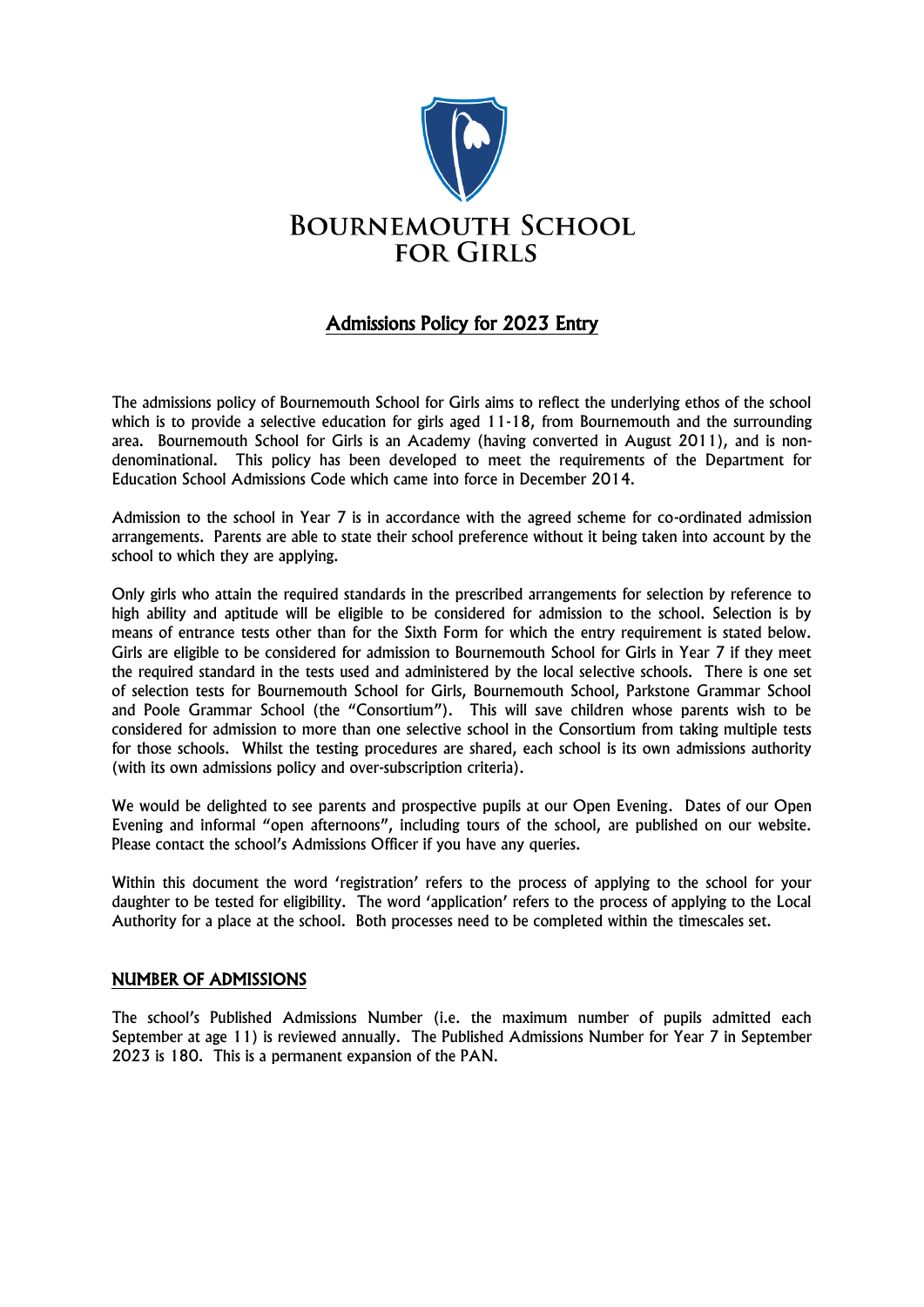

# Admissions Policy for 2023 Entry

The admissions policy of Bournemouth School for Girls aims to reflect the underlying ethos of the school which is to provide a selective education for girls aged 11-18, from Bournemouth and the surrounding area. Bournemouth School for Girls is an Academy (having converted in August 2011), and is nondenominational. This policy has been developed to meet the requirements of the Department for Education School Admissions Code which came into force in December 2014.

Admission to the school in Year 7 is in accordance with the agreed scheme for co-ordinated admission arrangements. Parents are able to state their school preference without it being taken into account by the school to which they are applying.

Only girls who attain the required standards in the prescribed arrangements for selection by reference to high ability and aptitude will be eligible to be considered for admission to the school. Selection is by means of entrance tests other than for the Sixth Form for which the entry requirement is stated below. Girls are eligible to be considered for admission to Bournemouth School for Girls in Year 7 if they meet the required standard in the tests used and administered by the local selective schools. There is one set of selection tests for Bournemouth School for Girls, Bournemouth School, Parkstone Grammar School and Poole Grammar School (the "Consortium"). This will save children whose parents wish to be considered for admission to more than one selective school in the Consortium from taking multiple tests for those schools. Whilst the testing procedures are shared, each school is its own admissions authority (with its own admissions policy and over-subscription criteria).

We would be delighted to see parents and prospective pupils at our Open Evening. Dates of our Open Evening and informal "open afternoons", including tours of the school, are published on our website. Please contact the school's Admissions Officer if you have any queries.

Within this document the word 'registration' refers to the process of applying to the school for your daughter to be tested for eligibility. The word 'application' refers to the process of applying to the Local Authority for a place at the school. Both processes need to be completed within the timescales set.

# NUMBER OF ADMISSIONS

The school's Published Admissions Number (i.e. the maximum number of pupils admitted each September at age 11) is reviewed annually. The Published Admissions Number for Year 7 in September 2023 is 180. This is a permanent expansion of the PAN.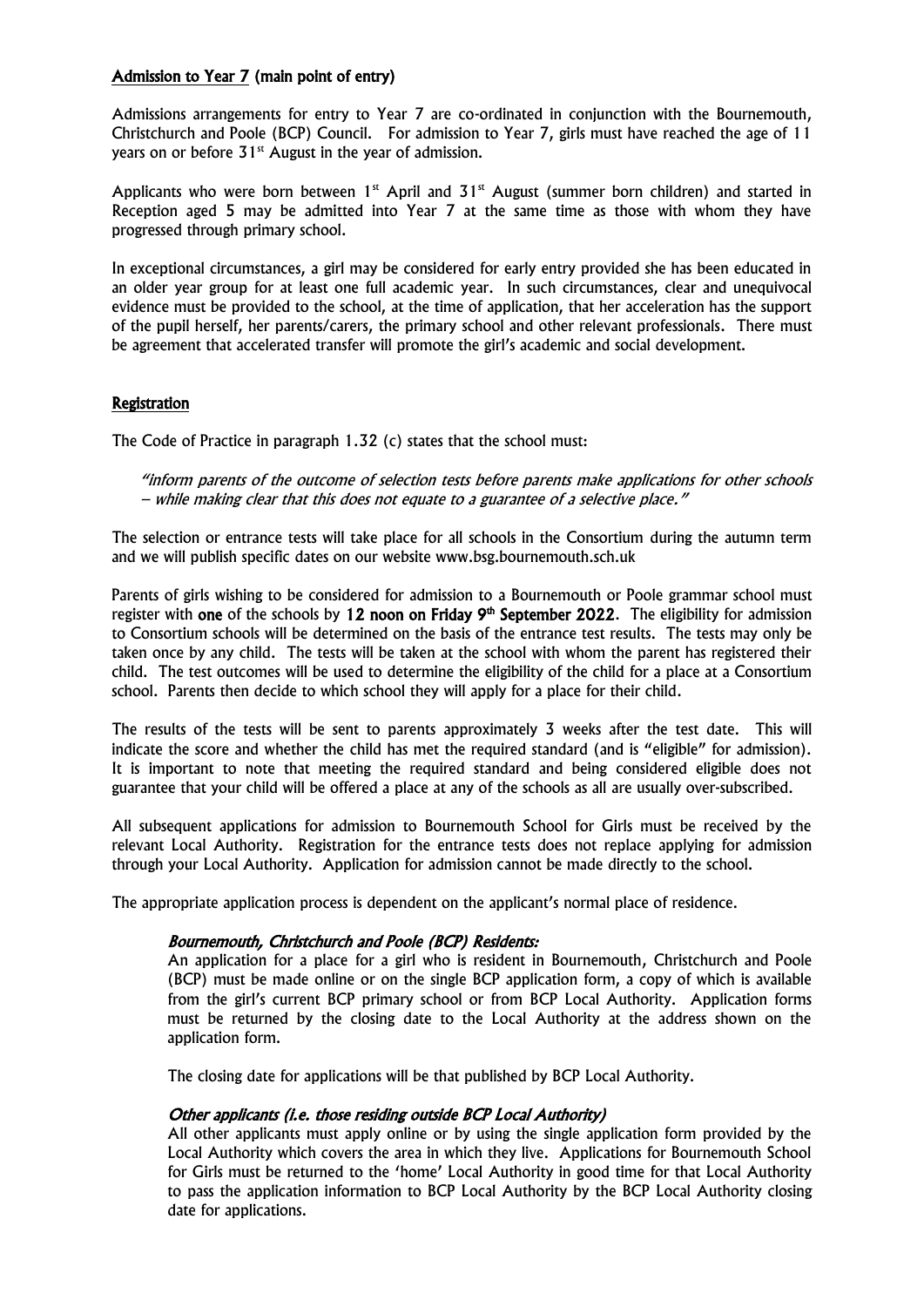### Admission to Year 7 (main point of entry)

Admissions arrangements for entry to Year 7 are co-ordinated in conjunction with the Bournemouth, Christchurch and Poole (BCP) Council. For admission to Year 7, girls must have reached the age of 11 years on or before  $31<sup>st</sup>$  August in the year of admission.

Applicants who were born between  $1<sup>st</sup>$  April and  $31<sup>st</sup>$  August (summer born children) and started in Reception aged 5 may be admitted into Year 7 at the same time as those with whom they have progressed through primary school.

In exceptional circumstances, a girl may be considered for early entry provided she has been educated in an older year group for at least one full academic year. In such circumstances, clear and unequivocal evidence must be provided to the school, at the time of application, that her acceleration has the support of the pupil herself, her parents/carers, the primary school and other relevant professionals. There must be agreement that accelerated transfer will promote the girl's academic and social development.

### Registration

The Code of Practice in paragraph 1.32 (c) states that the school must:

"inform parents of the outcome of selection tests before parents make applications for other schools – while making clear that this does not equate to a guarantee of a selective place."

The selection or entrance tests will take place for all schools in the Consortium during the autumn term and we will publish specific dates on our website www.bsg.bournemouth.sch.uk

Parents of girls wishing to be considered for admission to a Bournemouth or Poole grammar school must register with one of the schools by 12 noon on Friday  $9<sup>th</sup>$  September 2022. The eligibility for admission to Consortium schools will be determined on the basis of the entrance test results. The tests may only be taken once by any child. The tests will be taken at the school with whom the parent has registered their child. The test outcomes will be used to determine the eligibility of the child for a place at a Consortium school. Parents then decide to which school they will apply for a place for their child.

The results of the tests will be sent to parents approximately 3 weeks after the test date. This will indicate the score and whether the child has met the required standard (and is "eligible" for admission). It is important to note that meeting the required standard and being considered eligible does not guarantee that your child will be offered a place at any of the schools as all are usually over-subscribed.

All subsequent applications for admission to Bournemouth School for Girls must be received by the relevant Local Authority. Registration for the entrance tests does not replace applying for admission through your Local Authority. Application for admission cannot be made directly to the school.

The appropriate application process is dependent on the applicant's normal place of residence.

### Bournemouth, Christchurch and Poole (BCP) Residents:

An application for a place for a girl who is resident in Bournemouth, Christchurch and Poole (BCP) must be made online or on the single BCP application form, a copy of which is available from the girl's current BCP primary school or from BCP Local Authority. Application forms must be returned by the closing date to the Local Authority at the address shown on the application form.

The closing date for applications will be that published by BCP Local Authority.

### Other applicants (i.e. those residing outside BCP Local Authority)

All other applicants must apply online or by using the single application form provided by the Local Authority which covers the area in which they live. Applications for Bournemouth School for Girls must be returned to the 'home' Local Authority in good time for that Local Authority to pass the application information to BCP Local Authority by the BCP Local Authority closing date for applications.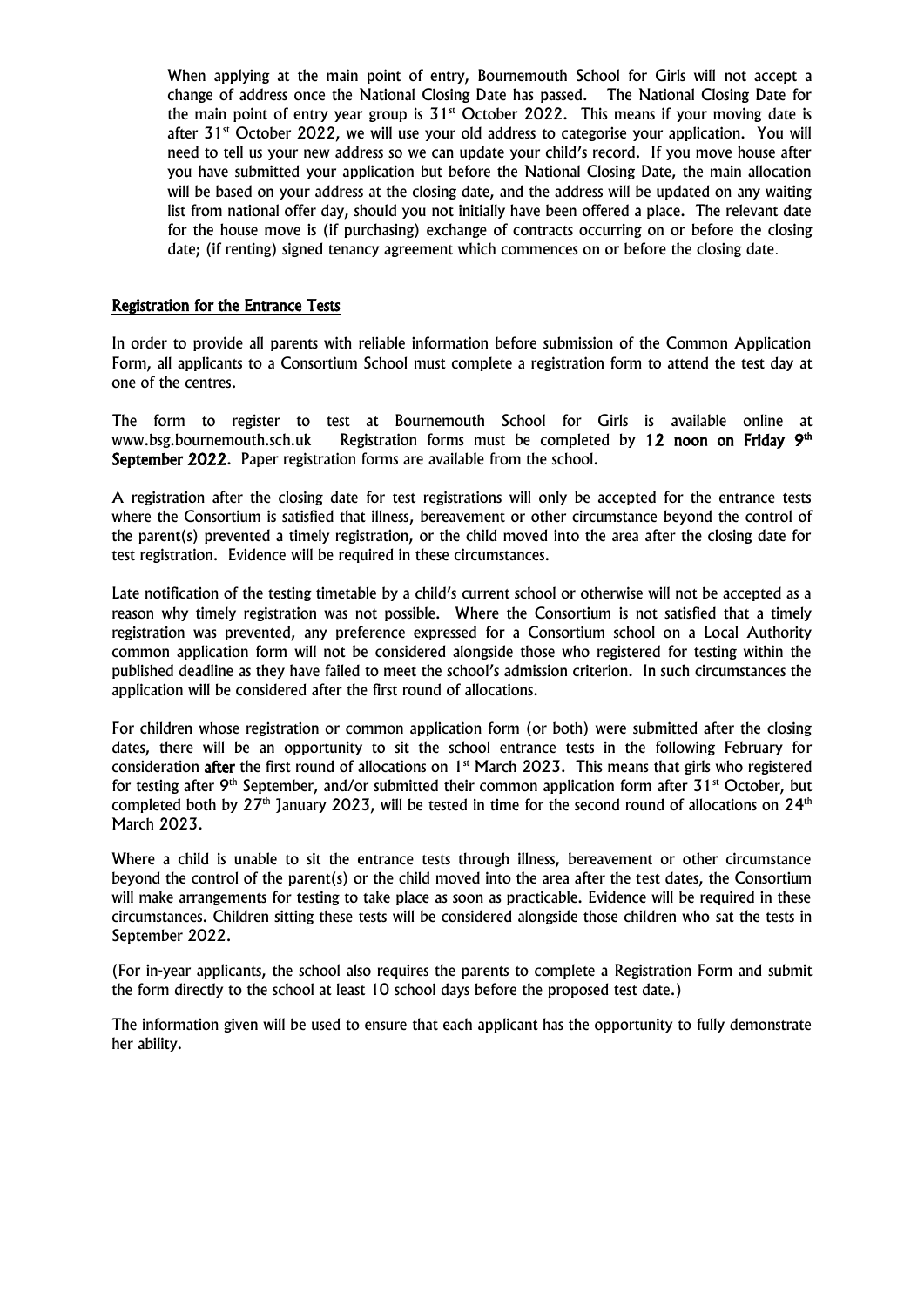When applying at the main point of entry, Bournemouth School for Girls will not accept a change of address once the National Closing Date has passed. The National Closing Date for the main point of entry year group is  $31<sup>st</sup>$  October 2022. This means if your moving date is after  $31<sup>st</sup>$  October 2022, we will use your old address to categorise your application. You will need to tell us your new address so we can update your child's record. If you move house after you have submitted your application but before the National Closing Date, the main allocation will be based on your address at the closing date, and the address will be updated on any waiting list from national offer day, should you not initially have been offered a place. The relevant date for the house move is (if purchasing) exchange of contracts occurring on or before the closing date; (if renting) signed tenancy agreement which commences on or before the closing date*.*

### Registration for the Entrance Tests

In order to provide all parents with reliable information before submission of the Common Application Form, all applicants to a Consortium School must complete a registration form to attend the test day at one of the centres.

The form to register to test at Bournemouth School for Girls is available online at www.bsg.bournemouth.sch.uk Registration forms must be completed by 12 noon on Friday 9<sup>th</sup> September 2022. Paper registration forms are available from the school.

A registration after the closing date for test registrations will only be accepted for the entrance tests where the Consortium is satisfied that illness, bereavement or other circumstance beyond the control of the parent(s) prevented a timely registration, or the child moved into the area after the closing date for test registration. Evidence will be required in these circumstances.

Late notification of the testing timetable by a child's current school or otherwise will not be accepted as a reason why timely registration was not possible. Where the Consortium is not satisfied that a timely registration was prevented, any preference expressed for a Consortium school on a Local Authority common application form will not be considered alongside those who registered for testing within the published deadline as they have failed to meet the school's admission criterion. In such circumstances the application will be considered after the first round of allocations.

For children whose registration or common application form (or both) were submitted after the closing dates, there will be an opportunity to sit the school entrance tests in the following February for consideration after the first round of allocations on  $1<sup>st</sup>$  March 2023. This means that girls who registered for testing after  $9<sup>th</sup>$  September, and/or submitted their common application form after 31<sup>st</sup> October, but completed both by  $27<sup>th</sup>$  January 2023, will be tested in time for the second round of allocations on  $24<sup>th</sup>$ March 2023.

Where a child is unable to sit the entrance tests through illness, bereavement or other circumstance beyond the control of the parent(s) or the child moved into the area after the test dates, the Consortium will make arrangements for testing to take place as soon as practicable. Evidence will be required in these circumstances. Children sitting these tests will be considered alongside those children who sat the tests in September 2022.

(For in-year applicants, the school also requires the parents to complete a Registration Form and submit the form directly to the school at least 10 school days before the proposed test date.)

The information given will be used to ensure that each applicant has the opportunity to fully demonstrate her ability.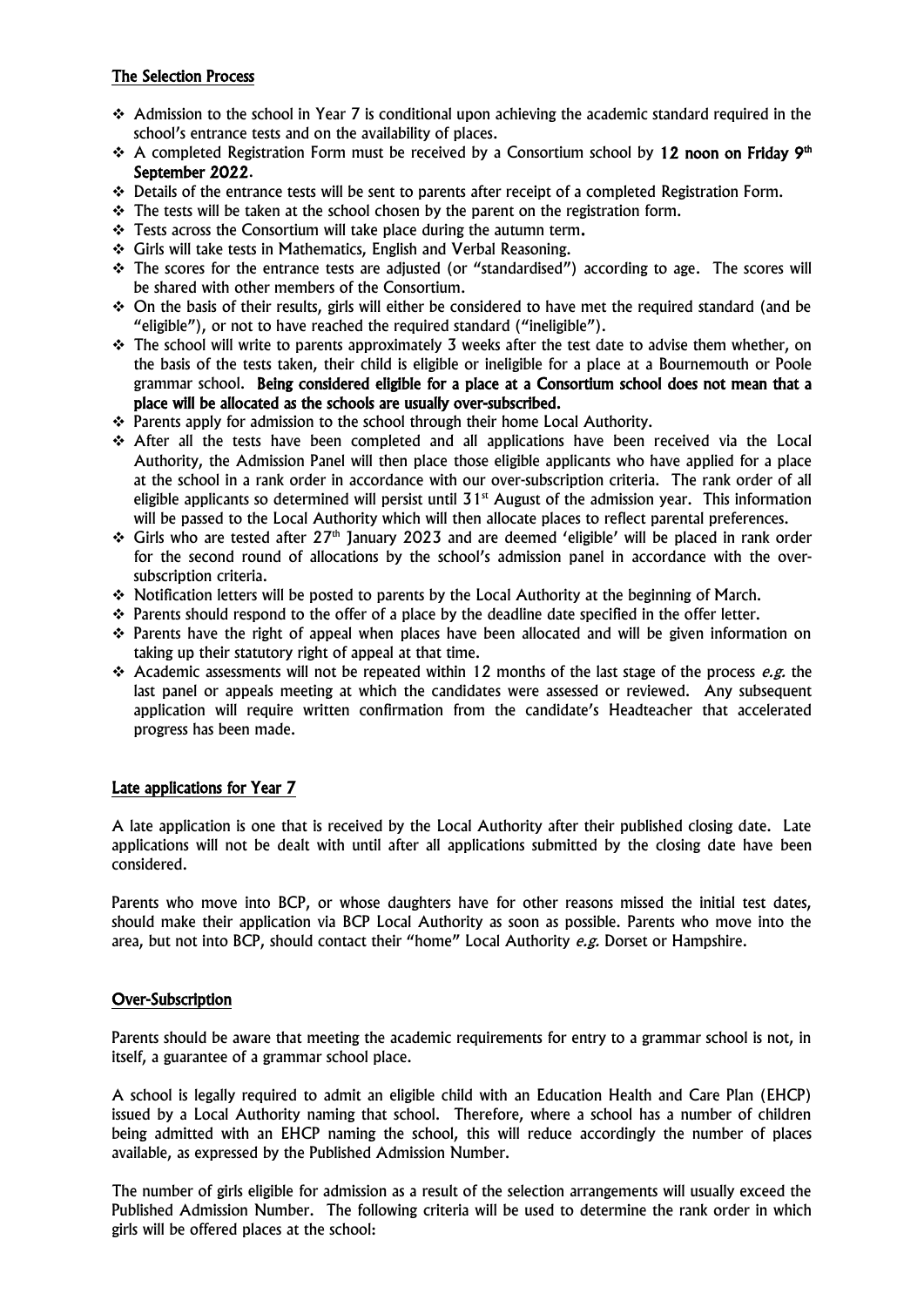# The Selection Process

- $\cdot$  Admission to the school in Year 7 is conditional upon achieving the academic standard required in the school's entrance tests and on the availability of places.
- ↑ A completed Registration Form must be received by a Consortium school by 12 noon on Friday 9<sup>th</sup> September 2022.
- $\cdot \cdot$  Details of the entrance tests will be sent to parents after receipt of a completed Registration Form.
- $\div$  The tests will be taken at the school chosen by the parent on the registration form.
- \* Tests across the Consortium will take place during the autumn term.
- Girls will take tests in Mathematics, English and Verbal Reasoning.
- The scores for the entrance tests are adjusted (or "standardised") according to age. The scores will be shared with other members of the Consortium.
- On the basis of their results, girls will either be considered to have met the required standard (and be "eligible"), or not to have reached the required standard ("ineligible").
- $\cdot$  The school will write to parents approximately 3 weeks after the test date to advise them whether, on the basis of the tests taken, their child is eligible or ineligible for a place at a Bournemouth or Poole grammar school. Being considered eligible for a place at a Consortium school does not mean that a place will be allocated as the schools are usually over-subscribed.
- \* Parents apply for admission to the school through their home Local Authority.
- After all the tests have been completed and all applications have been received via the Local Authority, the Admission Panel will then place those eligible applicants who have applied for a place at the school in a rank order in accordance with our over-subscription criteria. The rank order of all eligible applicants so determined will persist until  $31<sup>st</sup>$  August of the admission year. This information will be passed to the Local Authority which will then allocate places to reflect parental preferences.
- $\div$  Girls who are tested after 27<sup>th</sup> January 2023 and are deemed 'eligible' will be placed in rank order for the second round of allocations by the school's admission panel in accordance with the oversubscription criteria.
- $\div$  Notification letters will be posted to parents by the Local Authority at the beginning of March.
- $\div$  Parents should respond to the offer of a place by the deadline date specified in the offer letter.
- $\hat{\mathbf{v}}$  Parents have the right of appeal when places have been allocated and will be given information on taking up their statutory right of appeal at that time.
- Academic assessments will not be repeated within 12 months of the last stage of the process e.g. the last panel or appeals meeting at which the candidates were assessed or reviewed. Any subsequent application will require written confirmation from the candidate's Headteacher that accelerated progress has been made.

### Late applications for Year 7

A late application is one that is received by the Local Authority after their published closing date. Late applications will not be dealt with until after all applications submitted by the closing date have been considered.

Parents who move into BCP, or whose daughters have for other reasons missed the initial test dates, should make their application via BCP Local Authority as soon as possible. Parents who move into the area, but not into BCP, should contact their "home" Local Authority e.g. Dorset or Hampshire.

### Over-Subscription

Parents should be aware that meeting the academic requirements for entry to a grammar school is not, in itself, a guarantee of a grammar school place.

A school is legally required to admit an eligible child with an Education Health and Care Plan (EHCP) issued by a Local Authority naming that school. Therefore, where a school has a number of children being admitted with an EHCP naming the school, this will reduce accordingly the number of places available, as expressed by the Published Admission Number.

The number of girls eligible for admission as a result of the selection arrangements will usually exceed the Published Admission Number. The following criteria will be used to determine the rank order in which girls will be offered places at the school: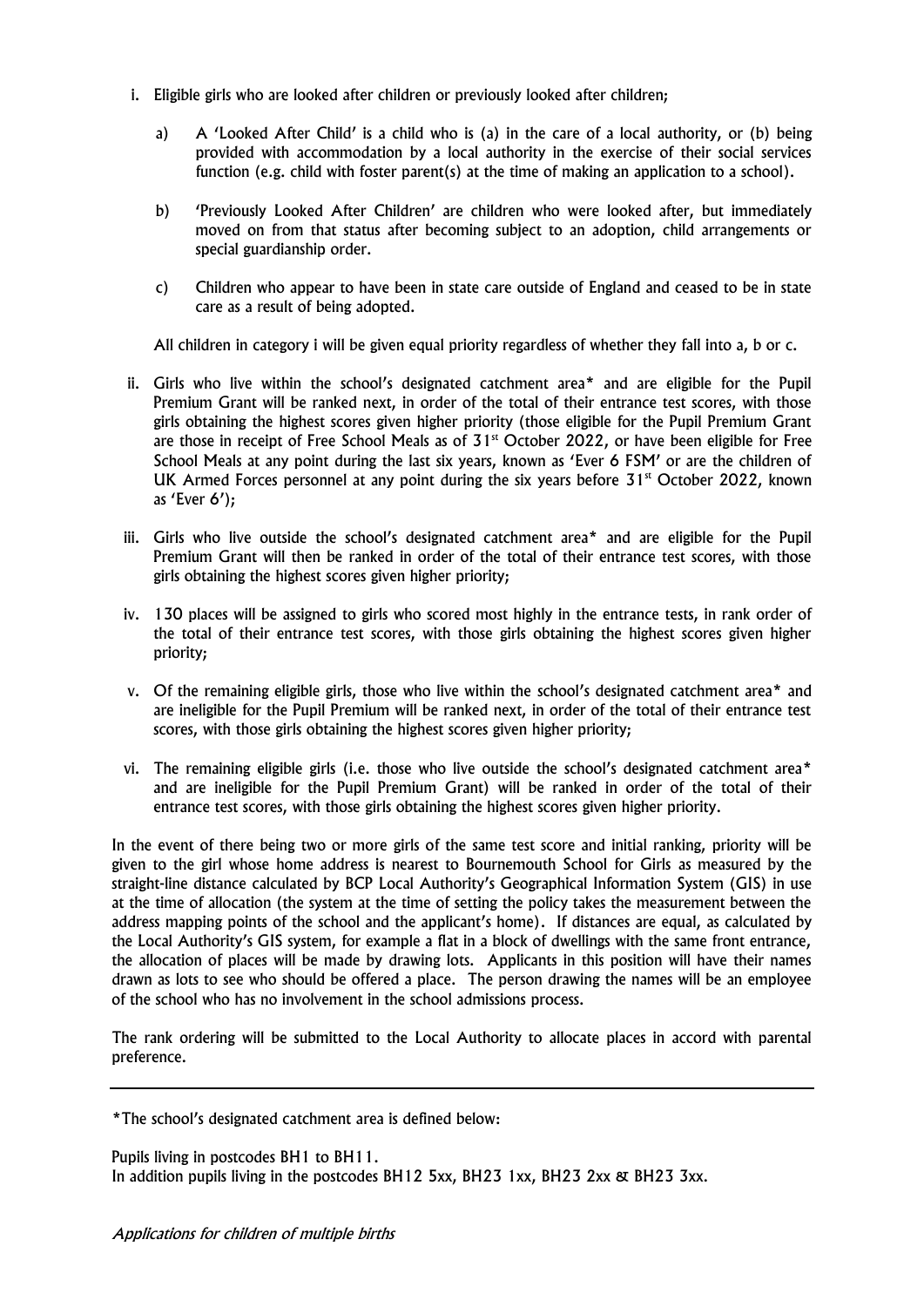- i. Eligible girls who are looked after children or previously looked after children;
	- a) A 'Looked After Child' is a child who is (a) in the care of a local authority, or (b) being provided with accommodation by a local authority in the exercise of their social services function (e.g. child with foster parent(s) at the time of making an application to a school).
	- b) 'Previously Looked After Children' are children who were looked after, but immediately moved on from that status after becoming subject to an adoption, child arrangements or special guardianship order.
	- c) Children who appear to have been in state care outside of England and ceased to be in state care as a result of being adopted.

All children in category i will be given equal priority regardless of whether they fall into a, b or c.

- ii. Girls who live within the school's designated catchment area\* and are eligible for the Pupil Premium Grant will be ranked next, in order of the total of their entrance test scores, with those girls obtaining the highest scores given higher priority (those eligible for the Pupil Premium Grant are those in receipt of Free School Meals as of 31<sup>st</sup> October 2022, or have been eligible for Free School Meals at any point during the last six years, known as 'Ever 6 FSM' or are the children of UK Armed Forces personnel at any point during the six years before  $31<sup>st</sup>$  October 2022, known as 'Ever 6');
- iii. Girls who live outside the school's designated catchment area\* and are eligible for the Pupil Premium Grant will then be ranked in order of the total of their entrance test scores, with those girls obtaining the highest scores given higher priority;
- iv. 130 places will be assigned to girls who scored most highly in the entrance tests, in rank order of the total of their entrance test scores, with those girls obtaining the highest scores given higher priority;
- v. Of the remaining eligible girls, those who live within the school's designated catchment area\* and are ineligible for the Pupil Premium will be ranked next, in order of the total of their entrance test scores, with those girls obtaining the highest scores given higher priority;
- vi. The remaining eligible girls (i.e. those who live outside the school's designated catchment area\* and are ineligible for the Pupil Premium Grant) will be ranked in order of the total of their entrance test scores, with those girls obtaining the highest scores given higher priority.

In the event of there being two or more girls of the same test score and initial ranking, priority will be given to the girl whose home address is nearest to Bournemouth School for Girls as measured by the straight-line distance calculated by BCP Local Authority's Geographical Information System (GIS) in use at the time of allocation (the system at the time of setting the policy takes the measurement between the address mapping points of the school and the applicant's home). If distances are equal, as calculated by the Local Authority's GIS system, for example a flat in a block of dwellings with the same front entrance, the allocation of places will be made by drawing lots. Applicants in this position will have their names drawn as lots to see who should be offered a place. The person drawing the names will be an employee of the school who has no involvement in the school admissions process.

The rank ordering will be submitted to the Local Authority to allocate places in accord with parental preference.

\*The school's designated catchment area is defined below:

Pupils living in postcodes BH1 to BH11. In addition pupils living in the postcodes BH12 5xx, BH23 1xx, BH23 2xx & BH23 3xx.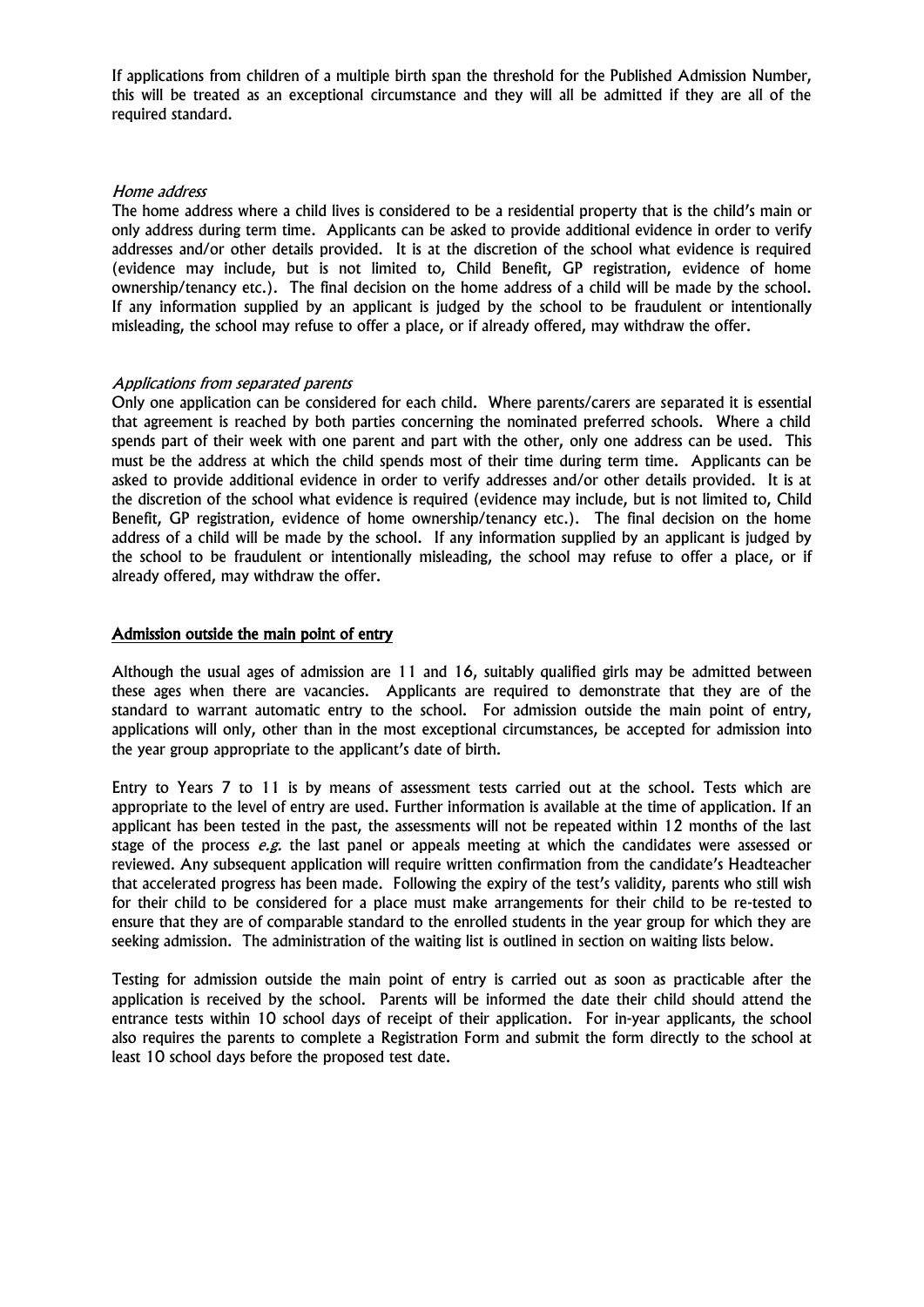If applications from children of a multiple birth span the threshold for the Published Admission Number, this will be treated as an exceptional circumstance and they will all be admitted if they are all of the required standard.

#### Home address

The home address where a child lives is considered to be a residential property that is the child's main or only address during term time. Applicants can be asked to provide additional evidence in order to verify addresses and/or other details provided. It is at the discretion of the school what evidence is required (evidence may include, but is not limited to, Child Benefit, GP registration, evidence of home ownership/tenancy etc.). The final decision on the home address of a child will be made by the school. If any information supplied by an applicant is judged by the school to be fraudulent or intentionally misleading, the school may refuse to offer a place, or if already offered, may withdraw the offer.

#### Applications from separated parents

Only one application can be considered for each child. Where parents/carers are separated it is essential that agreement is reached by both parties concerning the nominated preferred schools. Where a child spends part of their week with one parent and part with the other, only one address can be used. This must be the address at which the child spends most of their time during term time. Applicants can be asked to provide additional evidence in order to verify addresses and/or other details provided. It is at the discretion of the school what evidence is required (evidence may include, but is not limited to, Child Benefit, GP registration, evidence of home ownership/tenancy etc.). The final decision on the home address of a child will be made by the school. If any information supplied by an applicant is judged by the school to be fraudulent or intentionally misleading, the school may refuse to offer a place, or if already offered, may withdraw the offer.

#### Admission outside the main point of entry

Although the usual ages of admission are 11 and 16, suitably qualified girls may be admitted between these ages when there are vacancies. Applicants are required to demonstrate that they are of the standard to warrant automatic entry to the school. For admission outside the main point of entry, applications will only, other than in the most exceptional circumstances, be accepted for admission into the year group appropriate to the applicant's date of birth.

Entry to Years 7 to 11 is by means of assessment tests carried out at the school. Tests which are appropriate to the level of entry are used. Further information is available at the time of application. If an applicant has been tested in the past, the assessments will not be repeated within 12 months of the last stage of the process e.g. the last panel or appeals meeting at which the candidates were assessed or reviewed. Any subsequent application will require written confirmation from the candidate's Headteacher that accelerated progress has been made. Following the expiry of the test's validity, parents who still wish for their child to be considered for a place must make arrangements for their child to be re-tested to ensure that they are of comparable standard to the enrolled students in the year group for which they are seeking admission. The administration of the waiting list is outlined in section on waiting lists below.

Testing for admission outside the main point of entry is carried out as soon as practicable after the application is received by the school. Parents will be informed the date their child should attend the entrance tests within 10 school days of receipt of their application. For in-year applicants, the school also requires the parents to complete a Registration Form and submit the form directly to the school at least 10 school days before the proposed test date.